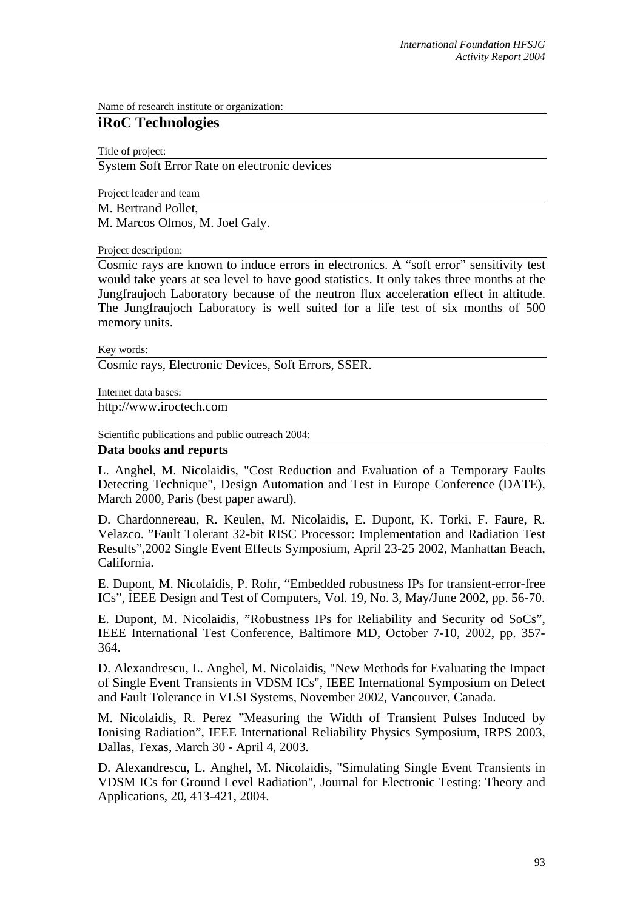Name of research institute or organization:

## **iRoC Technologies**

Title of project:

System Soft Error Rate on electronic devices

Project leader and team M. Bertrand Pollet, M. Marcos Olmos, M. Joel Galy.

Project description:

Cosmic rays are known to induce errors in electronics. A "soft error" sensitivity test would take years at sea level to have good statistics. It only takes three months at the Jungfraujoch Laboratory because of the neutron flux acceleration effect in altitude. The Jungfraujoch Laboratory is well suited for a life test of six months of 500 memory units.

Key words:

Cosmic rays, Electronic Devices, Soft Errors, SSER.

Internet data bases:

[http://www.iroctech.com](http://www.iroctech.com/)

Scientific publications and public outreach 2004:

## **Data books and reports**

L. Anghel, M. Nicolaidis, "Cost Reduction and Evaluation of a Temporary Faults Detecting Technique", Design Automation and Test in Europe Conference (DATE), March 2000, Paris (best paper award).

D. Chardonnereau, R. Keulen, M. Nicolaidis, E. Dupont, K. Torki, F. Faure, R. Velazco. "Fault Tolerant 32-bit RISC Processor: Implementation and Radiation Test Results",2002 Single Event Effects Symposium, April 23-25 2002, Manhattan Beach, California.

E. Dupont, M. Nicolaidis, P. Rohr, "Embedded robustness IPs for transient-error-free ICs", IEEE Design and Test of Computers, Vol. 19, No. 3, May/June 2002, pp. 56-70.

E. Dupont, M. Nicolaidis, "Robustness IPs for Reliability and Security od SoCs", IEEE International Test Conference, Baltimore MD, October 7-10, 2002, pp. 357- 364.

D. Alexandrescu, L. Anghel, M. Nicolaidis, "New Methods for Evaluating the Impact of Single Event Transients in VDSM ICs", IEEE International Symposium on Defect and Fault Tolerance in VLSI Systems, November 2002, Vancouver, Canada.

M. Nicolaidis, R. Perez "Measuring the Width of Transient Pulses Induced by Ionising Radiation", IEEE International Reliability Physics Symposium, IRPS 2003, Dallas, Texas, March 30 - April 4, 2003.

D. Alexandrescu, L. Anghel, M. Nicolaidis, "Simulating Single Event Transients in VDSM ICs for Ground Level Radiation", Journal for Electronic Testing: Theory and Applications, 20, 413-421, 2004.